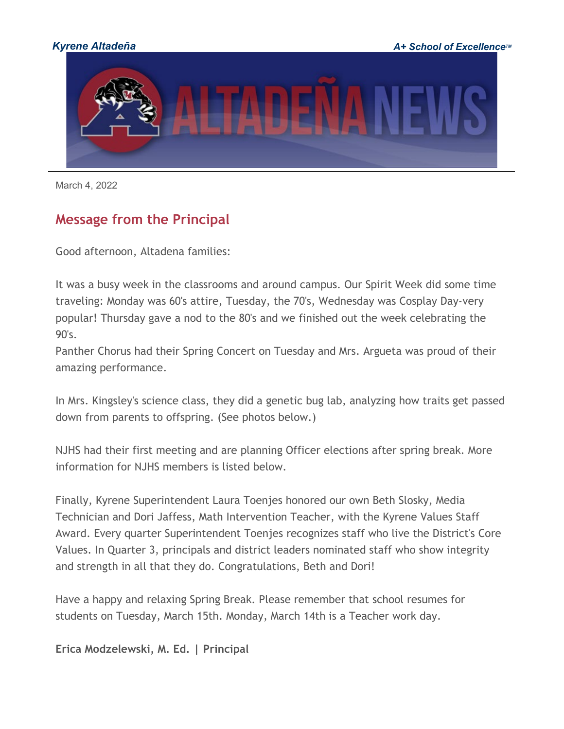

March 4, 2022

## **Message from the Principal**

Good afternoon, Altadena families:

It was a busy week in the classrooms and around campus. Our Spirit Week did some time traveling: Monday was 60's attire, Tuesday, the 70's, Wednesday was Cosplay Day-very popular! Thursday gave a nod to the 80's and we finished out the week celebrating the 90's.

Panther Chorus had their Spring Concert on Tuesday and Mrs. Argueta was proud of their amazing performance.

In Mrs. Kingsley's science class, they did a genetic bug lab, analyzing how traits get passed down from parents to offspring. (See photos below.)

NJHS had their first meeting and are planning Officer elections after spring break. More information for NJHS members is listed below.

Finally, Kyrene Superintendent Laura Toenjes honored our own Beth Slosky, Media Technician and Dori Jaffess, Math Intervention Teacher, with the Kyrene Values Staff Award. Every quarter Superintendent Toenjes recognizes staff who live the District's Core Values. In Quarter 3, principals and district leaders nominated staff who show integrity and strength in all that they do. Congratulations, Beth and Dori!

Have a happy and relaxing Spring Break. Please remember that school resumes for students on Tuesday, March 15th. Monday, March 14th is a Teacher work day.

**Erica Modzelewski, M. Ed. | Principal**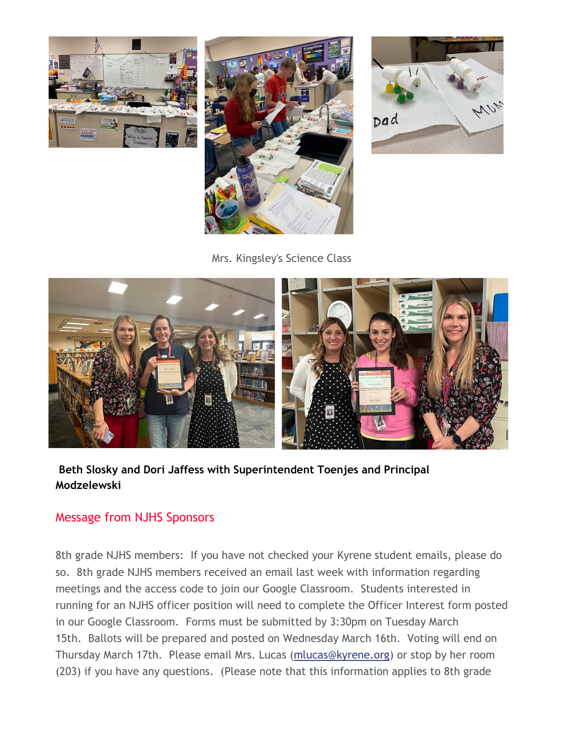





Mrs. Kingsley's Science Class



#### **Beth Slosky and Dori Jaffess with Superintendent Toenjes and Principal Modzelewski**

#### Message from NJHS Sponsors

8th grade NJHS members: If you have not checked your Kyrene student emails, please do so. 8th grade NJHS members received an email last week with information regarding meetings and the access code to join our Google Classroom. Students interested in running for an NJHS officer position will need to complete the Officer Interest form posted in our Google Classroom. Forms must be submitted by 3:30pm on Tuesday March 15th. Ballots will be prepared and posted on Wednesday March 16th. Voting will end on Thursday March 17th. Please email Mrs. Lucas [\(mlucas@kyrene.org\)](mailto:mlucas@kyrene.org) or stop by her room (203) if you have any questions. (Please note that this information applies to 8th grade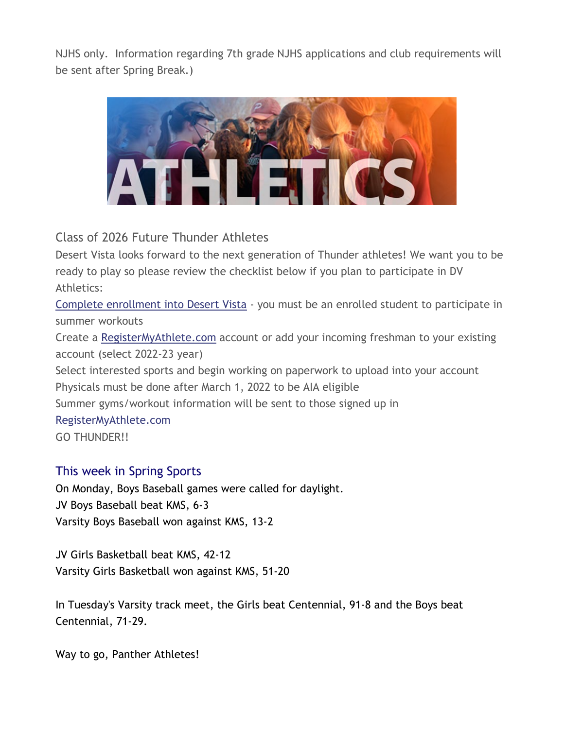NJHS only. Information regarding 7th grade NJHS applications and club requirements will be sent after Spring Break.)



Class of 2026 Future Thunder Athletes

Desert Vista looks forward to the next generation of Thunder athletes! We want you to be ready to play so please review the checklist below if you plan to participate in DV Athletics:

[Complete enrollment into Desert Vista](http://track.spe.schoolmessenger.com/f/a/POxFSb8ziwycx3lS0KoQLg%7E%7E/AAAAAQA%7E/RgRkA87AP0QkaHR0cHM6Ly93d3cudGVtcGV1bmlvbi5vcmcvUGFnZS8yNjg1VwdzY2hvb2xtQgpiHkCbImInl2ZJUhBzcmF0aEBreXJlbmUub3JnWAQAAAAB) - you must be an enrolled student to participate in summer workouts

Create a [RegisterMyAthlete.com](http://track.spe.schoolmessenger.com/f/a/Q4F_rSCCZdPTD2zfxKW_ew%7E%7E/AAAAAQA%7E/RgRkA87AP0QhaHR0cDovL3d3dy5yZWdpc3Rlcm15YXRobGV0ZS5jb20vVwdzY2hvb2xtQgpiHkCbImInl2ZJUhBzcmF0aEBreXJlbmUub3JnWAQAAAAB) account or add your incoming freshman to your existing account (select 2022-23 year)

Select interested sports and begin working on paperwork to upload into your account Physicals must be done after March 1, 2022 to be AIA eligible

Summer gyms/workout information will be sent to those signed up in

[RegisterMyAthlete.com](http://track.spe.schoolmessenger.com/f/a/Q4F_rSCCZdPTD2zfxKW_ew%7E%7E/AAAAAQA%7E/RgRkA87AP0QhaHR0cDovL3d3dy5yZWdpc3Rlcm15YXRobGV0ZS5jb20vVwdzY2hvb2xtQgpiHkCbImInl2ZJUhBzcmF0aEBreXJlbmUub3JnWAQAAAAB)

GO THUNDER!!

#### This week in Spring Sports

On Monday, Boys Baseball games were called for daylight. JV Boys Baseball beat KMS, 6-3 Varsity Boys Baseball won against KMS, 13-2

JV Girls Basketball beat KMS, 42-12 Varsity Girls Basketball won against KMS, 51-20

In Tuesday's Varsity track meet, the Girls beat Centennial, 91-8 and the Boys beat Centennial, 71-29.

Way to go, Panther Athletes!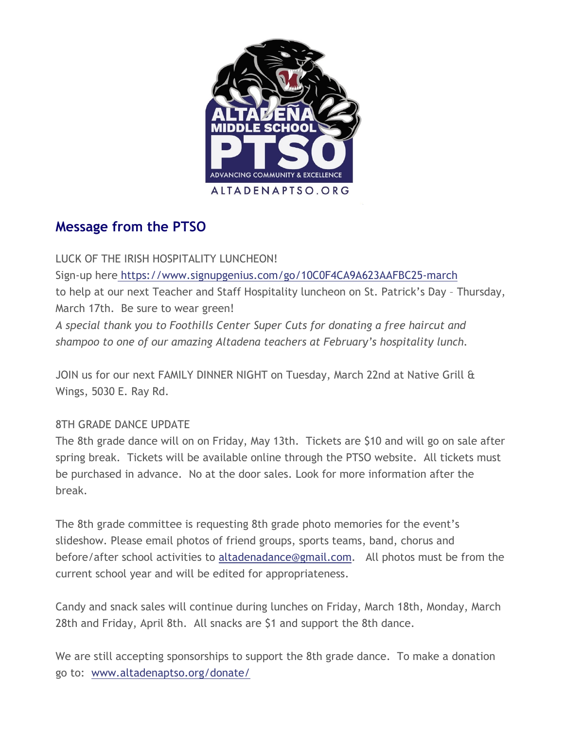

# **Message from the PTSO**

LUCK OF THE IRISH HOSPITALITY LUNCHEON! Sign-up here [https://www.signupgenius.com/go/10C0F4CA9A623AAFBC25-march](http://track.spe.schoolmessenger.com/f/a/9YNZftwlQVuj-nSNeW2r2Q%7E%7E/AAAAAQA%7E/RgRkA87AP0Q6aHR0cHM6Ly93d3cuc2lnbnVwZ2VuaXVzLmNvbS9nby8xMEMwRjRDQTlBNjIzQUFGQkMyNS1tYXJjaFcHc2Nob29sbUIKYh5AmyJiJ5dmSVIQc3JhdGhAa3lyZW5lLm9yZ1gEAAAAAQ%7E%7E) to help at our next Teacher and Staff Hospitality luncheon on St. Patrick's Day – Thursday, March 17th. Be sure to wear green! *A special thank you to Foothills Center Super Cuts for donating a free haircut and shampoo to one of our amazing Altadena teachers at February's hospitality lunch.*

JOIN us for our next FAMILY DINNER NIGHT on Tuesday, March 22nd at Native Grill & Wings, 5030 E. Ray Rd.

#### 8TH GRADE DANCE UPDATE

The 8th grade dance will on on Friday, May 13th. Tickets are \$10 and will go on sale after spring break. Tickets will be available online through the PTSO website. All tickets must be purchased in advance. No at the door sales. Look for more information after the break.

The 8th grade committee is requesting 8th grade photo memories for the event's slideshow. Please email photos of friend groups, sports teams, band, chorus and before/after school activities to [altadenadance@gmail.com.](mailto:altadenadance@gmail.com) All photos must be from the current school year and will be edited for appropriateness.

Candy and snack sales will continue during lunches on Friday, March 18th, Monday, March 28th and Friday, April 8th. All snacks are \$1 and support the 8th dance.

We are still accepting sponsorships to support the 8th grade dance. To make a donation go to: [www.altadenaptso.org/donate/](http://track.spe.schoolmessenger.com/f/a/XyeAyeLF8-qi49tiqAT4Gg%7E%7E/AAAAAQA%7E/RgRkA87AP0QjaHR0cDovL3d3dy5hbHRhZGVuYXB0c28ub3JnL2RvbmF0ZS9XB3NjaG9vbG1CCmIeQJsiYieXZklSEHNyYXRoQGt5cmVuZS5vcmdYBAAAAAE%7E)